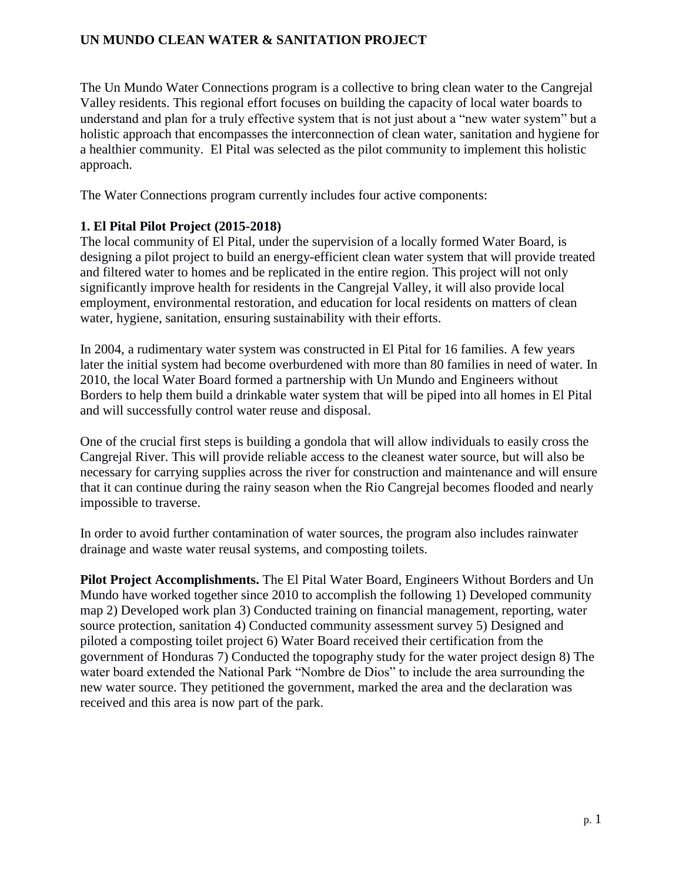## **UN MUNDO CLEAN WATER & SANITATION PROJECT**

The Un Mundo Water Connections program is a collective to bring clean water to the Cangrejal Valley residents. This regional effort focuses on building the capacity of local water boards to understand and plan for a truly effective system that is not just about a "new water system" but a holistic approach that encompasses the interconnection of clean water, sanitation and hygiene for a healthier community. El Pital was selected as the pilot community to implement this holistic approach.

The Water Connections program currently includes four active components:

#### **1. El Pital Pilot Project (2015-2018)**

The local community of El Pital, under the supervision of a locally formed Water Board, is designing a pilot project to build an energy-efficient clean water system that will provide treated and filtered water to homes and be replicated in the entire region. This project will not only significantly improve health for residents in the Cangrejal Valley, it will also provide local employment, environmental restoration, and education for local residents on matters of clean water, hygiene, sanitation, ensuring sustainability with their efforts.

In 2004, a rudimentary water system was constructed in El Pital for 16 families. A few years later the initial system had become overburdened with more than 80 families in need of water. In 2010, the local Water Board formed a partnership with Un Mundo and Engineers without Borders to help them build a drinkable water system that will be piped into all homes in El Pital and will successfully control water reuse and disposal.

One of the crucial first steps is building a gondola that will allow individuals to easily cross the Cangrejal River. This will provide reliable access to the cleanest water source, but will also be necessary for carrying supplies across the river for construction and maintenance and will ensure that it can continue during the rainy season when the Rio Cangrejal becomes flooded and nearly impossible to traverse.

In order to avoid further contamination of water sources, the program also includes rainwater drainage and waste water reusal systems, and composting toilets.

**Pilot Project Accomplishments.** The El Pital Water Board, Engineers Without Borders and Un Mundo have worked together since 2010 to accomplish the following 1) Developed community map 2) Developed work plan 3) Conducted training on financial management, reporting, water source protection, sanitation 4) Conducted community assessment survey 5) Designed and piloted a composting toilet project 6) Water Board received their certification from the government of Honduras 7) Conducted the topography study for the water project design 8) The water board extended the National Park "Nombre de Dios" to include the area surrounding the new water source. They petitioned the government, marked the area and the declaration was received and this area is now part of the park.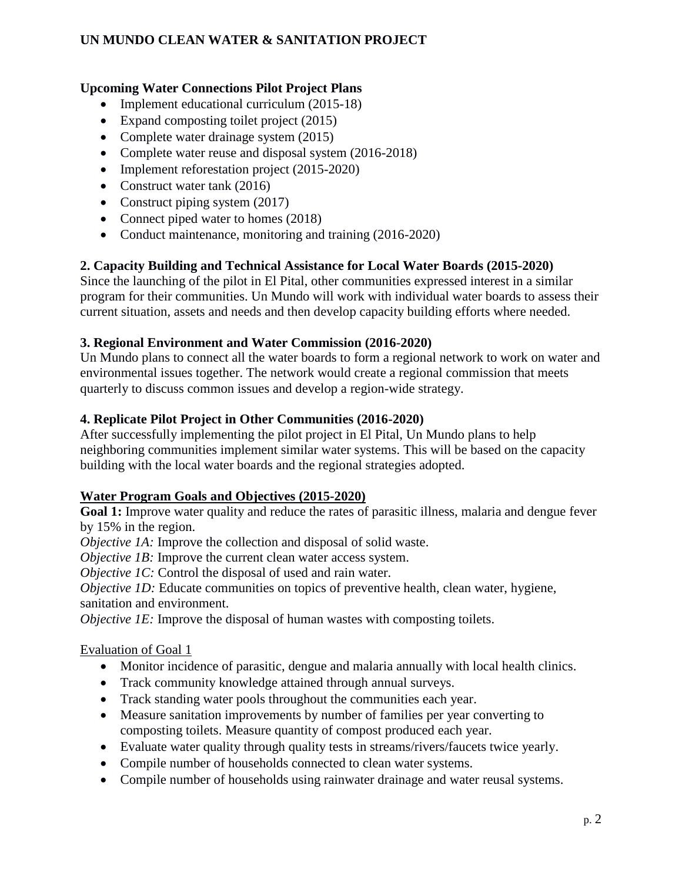# **UN MUNDO CLEAN WATER & SANITATION PROJECT**

# **Upcoming Water Connections Pilot Project Plans**

- Implement educational curriculum (2015-18)
- Expand composting toilet project (2015)
- Complete water drainage system (2015)
- Complete water reuse and disposal system (2016-2018)
- Implement reforestation project (2015-2020)
- Construct water tank (2016)
- Construct piping system (2017)
- Connect piped water to homes (2018)
- Conduct maintenance, monitoring and training (2016-2020)

## **2. Capacity Building and Technical Assistance for Local Water Boards (2015-2020)**

Since the launching of the pilot in El Pital, other communities expressed interest in a similar program for their communities. Un Mundo will work with individual water boards to assess their current situation, assets and needs and then develop capacity building efforts where needed.

## **3. Regional Environment and Water Commission (2016-2020)**

Un Mundo plans to connect all the water boards to form a regional network to work on water and environmental issues together. The network would create a regional commission that meets quarterly to discuss common issues and develop a region-wide strategy.

## **4. Replicate Pilot Project in Other Communities (2016-2020)**

After successfully implementing the pilot project in El Pital, Un Mundo plans to help neighboring communities implement similar water systems. This will be based on the capacity building with the local water boards and the regional strategies adopted.

## **Water Program Goals and Objectives (2015-2020)**

**Goal 1:** Improve water quality and reduce the rates of parasitic illness, malaria and dengue fever by 15% in the region.

*Objective 1A:* Improve the collection and disposal of solid waste.

*Objective 1B:* Improve the current clean water access system.

*Objective 1C:* Control the disposal of used and rain water.

*Objective 1D:* Educate communities on topics of preventive health, clean water, hygiene, sanitation and environment.

*Objective 1E:* Improve the disposal of human wastes with composting toilets.

## Evaluation of Goal 1

- Monitor incidence of parasitic, dengue and malaria annually with local health clinics.
- Track community knowledge attained through annual surveys.
- Track standing water pools throughout the communities each year.
- Measure sanitation improvements by number of families per year converting to composting toilets. Measure quantity of compost produced each year.
- Evaluate water quality through quality tests in streams/rivers/faucets twice yearly.
- Compile number of households connected to clean water systems.
- Compile number of households using rainwater drainage and water reusal systems.